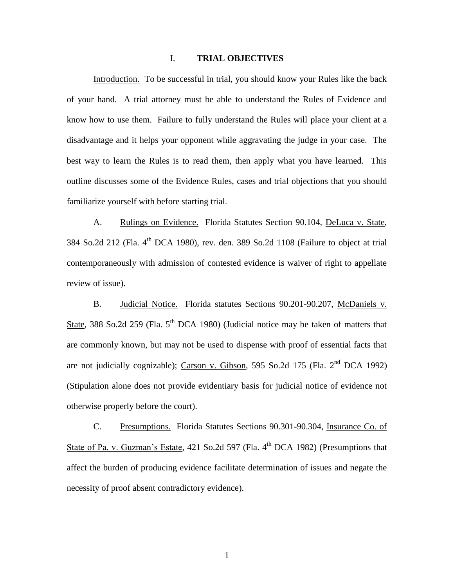### I. **TRIAL OBJECTIVES**

Introduction. To be successful in trial, you should know your Rules like the back of your hand. A trial attorney must be able to understand the Rules of Evidence and know how to use them. Failure to fully understand the Rules will place your client at a disadvantage and it helps your opponent while aggravating the judge in your case. The best way to learn the Rules is to read them, then apply what you have learned. This outline discusses some of the Evidence Rules, cases and trial objections that you should familiarize yourself with before starting trial.

A. Rulings on Evidence. Florida Statutes Section 90.104, DeLuca v. State,  $384$  So.2d 212 (Fla.  $4<sup>th</sup>$  DCA 1980), rev. den. 389 So.2d 1108 (Failure to object at trial contemporaneously with admission of contested evidence is waiver of right to appellate review of issue).

B. Judicial Notice. Florida statutes Sections 90.201-90.207, McDaniels v. State, 388 So.2d 259 (Fla.  $5<sup>th</sup>$  DCA 1980) (Judicial notice may be taken of matters that are commonly known, but may not be used to dispense with proof of essential facts that are not judicially cognizable); Carson v. Gibson, 595 So.2d 175 (Fla.  $2<sup>nd</sup> DCA$  1992) (Stipulation alone does not provide evidentiary basis for judicial notice of evidence not otherwise properly before the court).

C. Presumptions. Florida Statutes Sections 90.301-90.304, Insurance Co. of State of Pa. v. Guzman's Estate, 421 So.2d 597 (Fla. 4<sup>th</sup> DCA 1982) (Presumptions that affect the burden of producing evidence facilitate determination of issues and negate the necessity of proof absent contradictory evidence).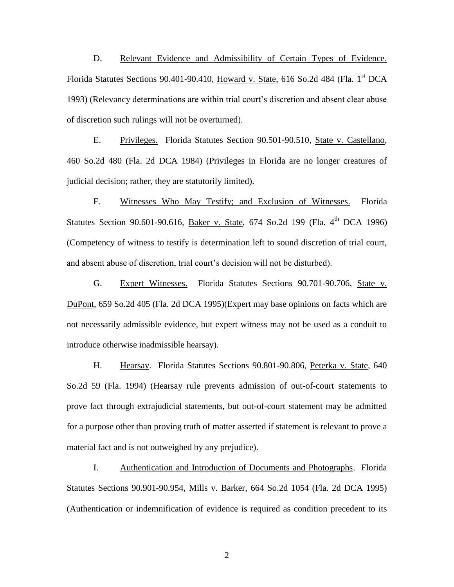D. Relevant Evidence and Admissibility of Certain Types of Evidence. Florida Statutes Sections 90.401-90.410, Howard v. State, 616 So.2d 484 (Fla.  $1<sup>st</sup> DCA$ 1993) (Relevancy determinations are within trial court's discretion and absent clear abuse of discretion such rulings will not be overturned).

E. Privileges. Florida Statutes Section 90.501-90.510, State v. Castellano, 460 So.2d 480 (Fla. 2d DCA 1984) (Privileges in Florida are no longer creatures of judicial decision; rather, they are statutorily limited).

F. Witnesses Who May Testify; and Exclusion of Witnesses. Florida Statutes Section 90.601-90.616, Baker v. State, 674 So.2d 199 (Fla. 4<sup>th</sup> DCA 1996) (Competency of witness to testify is determination left to sound discretion of trial court, and absent abuse of discretion, trial court's decision will not be disturbed).

G. Expert Witnesses. Florida Statutes Sections 90.701-90.706, State v. DuPont, 659 So.2d 405 (Fla. 2d DCA 1995)(Expert may base opinions on facts which are not necessarily admissible evidence, but expert witness may not be used as a conduit to introduce otherwise inadmissible hearsay).

H. Hearsay. Florida Statutes Sections 90.801-90.806, Peterka v. State, 640 So.2d 59 (Fla. 1994) (Hearsay rule prevents admission of out-of-court statements to prove fact through extrajudicial statements, but out-of-court statement may be admitted for a purpose other than proving truth of matter asserted if statement is relevant to prove a material fact and is not outweighed by any prejudice).

I. Authentication and Introduction of Documents and Photographs. Florida Statutes Sections 90.901-90.954, Mills v. Barker, 664 So.2d 1054 (Fla. 2d DCA 1995) (Authentication or indemnification of evidence is required as condition precedent to its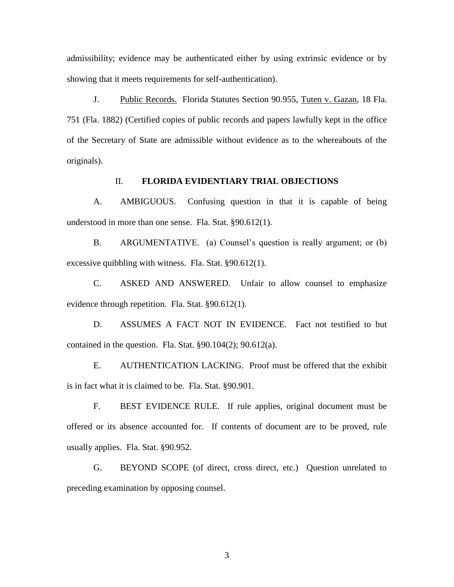admissibility; evidence may be authenticated either by using extrinsic evidence or by showing that it meets requirements for self-authentication).

J. Public Records. Florida Statutes Section 90.955, Tuten v. Gazan, 18 Fla. 751 (Fla. 1882) (Certified copies of public records and papers lawfully kept in the office of the Secretary of State are admissible without evidence as to the whereabouts of the originals).

### II. **FLORIDA EVIDENTIARY TRIAL OBJECTIONS**

A. AMBIGUOUS. Confusing question in that it is capable of being understood in more than one sense. Fla. Stat. §90.612(1).

B. ARGUMENTATIVE. (a) Counsel's question is really argument; or (b) excessive quibbling with witness. Fla. Stat. §90.612(1).

C. ASKED AND ANSWERED. Unfair to allow counsel to emphasize evidence through repetition. Fla. Stat. §90.612(1).

D. ASSUMES A FACT NOT IN EVIDENCE. Fact not testified to but contained in the question. Fla. Stat.  $§90.104(2)$ ;  $90.612(a)$ .

E. AUTHENTICATION LACKING. Proof must be offered that the exhibit is in fact what it is claimed to be. Fla. Stat. §90.901.

F. BEST EVIDENCE RULE. If rule applies, original document must be offered or its absence accounted for. If contents of document are to be proved, rule usually applies. Fla. Stat. §90.952.

G. BEYOND SCOPE (of direct, cross direct, etc.) Question unrelated to preceding examination by opposing counsel.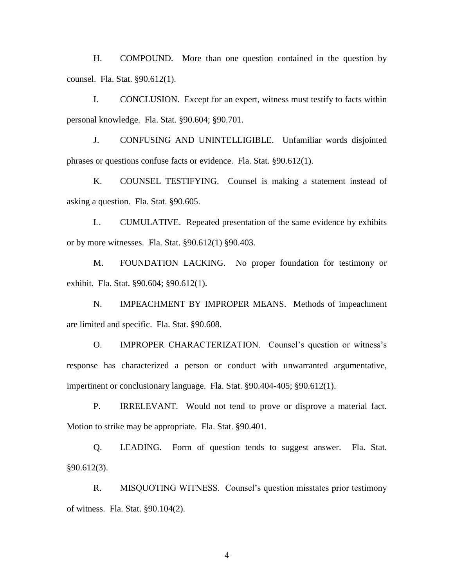H. COMPOUND. More than one question contained in the question by counsel. Fla. Stat. §90.612(1).

I. CONCLUSION. Except for an expert, witness must testify to facts within personal knowledge. Fla. Stat. §90.604; §90.701.

J. CONFUSING AND UNINTELLIGIBLE. Unfamiliar words disjointed phrases or questions confuse facts or evidence. Fla. Stat. §90.612(1).

K. COUNSEL TESTIFYING. Counsel is making a statement instead of asking a question. Fla. Stat. §90.605.

L. CUMULATIVE. Repeated presentation of the same evidence by exhibits or by more witnesses. Fla. Stat. §90.612(1) §90.403.

M. FOUNDATION LACKING. No proper foundation for testimony or exhibit. Fla. Stat. §90.604; §90.612(1).

N. IMPEACHMENT BY IMPROPER MEANS. Methods of impeachment are limited and specific. Fla. Stat. §90.608.

O. IMPROPER CHARACTERIZATION. Counsel's question or witness's response has characterized a person or conduct with unwarranted argumentative, impertinent or conclusionary language. Fla. Stat. §90.404-405; §90.612(1).

P. IRRELEVANT. Would not tend to prove or disprove a material fact. Motion to strike may be appropriate. Fla. Stat. §90.401.

Q. LEADING. Form of question tends to suggest answer. Fla. Stat. §90.612(3).

R. MISQUOTING WITNESS. Counsel's question misstates prior testimony of witness. Fla. Stat. §90.104(2).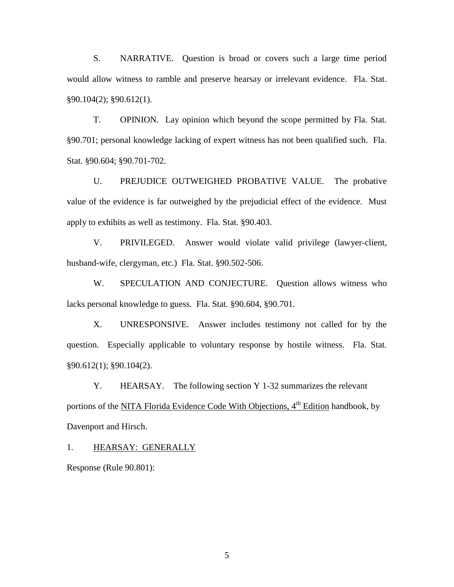S. NARRATIVE. Question is broad or covers such a large time period would allow witness to ramble and preserve hearsay or irrelevant evidence. Fla. Stat. §90.104(2); §90.612(1).

T. OPINION. Lay opinion which beyond the scope permitted by Fla. Stat. §90.701; personal knowledge lacking of expert witness has not been qualified such. Fla. Stat. §90.604; §90.701-702.

U. PREJUDICE OUTWEIGHED PROBATIVE VALUE. The probative value of the evidence is far outweighed by the prejudicial effect of the evidence. Must apply to exhibits as well as testimony. Fla. Stat. §90.403.

V. PRIVILEGED. Answer would violate valid privilege (lawyer-client, husband-wife, clergyman, etc.) Fla. Stat. §90.502-506.

W. SPECULATION AND CONJECTURE. Question allows witness who lacks personal knowledge to guess. Fla. Stat. §90.604, §90.701.

X. UNRESPONSIVE. Answer includes testimony not called for by the question. Especially applicable to voluntary response by hostile witness. Fla. Stat. §90.612(1); §90.104(2).

Y. HEARSAY. The following section Y 1-32 summarizes the relevant portions of the NITA Florida Evidence Code With Objections, 4<sup>th</sup> Edition handbook, by Davenport and Hirsch.

1. HEARSAY: GENERALLY

Response (Rule 90.801):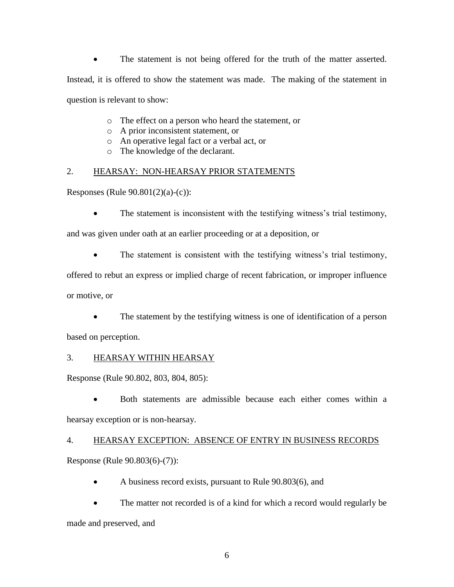The statement is not being offered for the truth of the matter asserted. Instead, it is offered to show the statement was made. The making of the statement in question is relevant to show:

- o The effect on a person who heard the statement, or
- o A prior inconsistent statement, or
- o An operative legal fact or a verbal act, or
- o The knowledge of the declarant.

# 2. HEARSAY: NON-HEARSAY PRIOR STATEMENTS

Responses (Rule 90.801(2)(a)-(c)):

• The statement is inconsistent with the testifying witness's trial testimony,

and was given under oath at an earlier proceeding or at a deposition, or

• The statement is consistent with the testifying witness's trial testimony,

offered to rebut an express or implied charge of recent fabrication, or improper influence

or motive, or

 The statement by the testifying witness is one of identification of a person based on perception.

# 3. HEARSAY WITHIN HEARSAY

Response (Rule 90.802, 803, 804, 805):

 Both statements are admissible because each either comes within a hearsay exception or is non-hearsay.

# 4. HEARSAY EXCEPTION: ABSENCE OF ENTRY IN BUSINESS RECORDS

Response (Rule 90.803(6)-(7)):

A business record exists, pursuant to Rule 90.803(6), and

 The matter not recorded is of a kind for which a record would regularly be made and preserved, and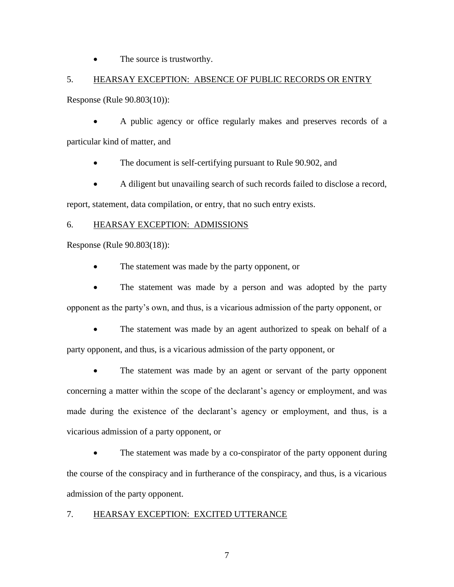The source is trustworthy.

# 5. HEARSAY EXCEPTION: ABSENCE OF PUBLIC RECORDS OR ENTRY

Response (Rule 90.803(10)):

 A public agency or office regularly makes and preserves records of a particular kind of matter, and

- The document is self-certifying pursuant to Rule 90.902, and
- A diligent but unavailing search of such records failed to disclose a record,

report, statement, data compilation, or entry, that no such entry exists.

# 6. HEARSAY EXCEPTION: ADMISSIONS

Response (Rule 90.803(18)):

• The statement was made by the party opponent, or

• The statement was made by a person and was adopted by the party opponent as the party's own, and thus, is a vicarious admission of the party opponent, or

 The statement was made by an agent authorized to speak on behalf of a party opponent, and thus, is a vicarious admission of the party opponent, or

• The statement was made by an agent or servant of the party opponent concerning a matter within the scope of the declarant's agency or employment, and was made during the existence of the declarant's agency or employment, and thus, is a vicarious admission of a party opponent, or

 The statement was made by a co-conspirator of the party opponent during the course of the conspiracy and in furtherance of the conspiracy, and thus, is a vicarious admission of the party opponent.

# 7. HEARSAY EXCEPTION: EXCITED UTTERANCE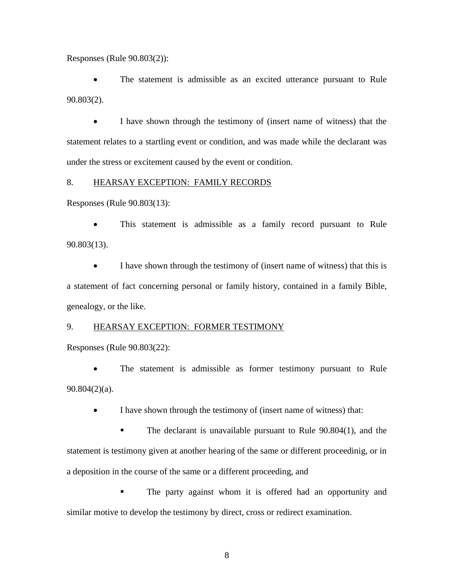Responses (Rule 90.803(2)):

 The statement is admissible as an excited utterance pursuant to Rule 90.803(2).

 I have shown through the testimony of (insert name of witness) that the statement relates to a startling event or condition, and was made while the declarant was under the stress or excitement caused by the event or condition.

### 8. HEARSAY EXCEPTION: FAMILY RECORDS

Responses (Rule 90.803(13):

 This statement is admissible as a family record pursuant to Rule 90.803(13).

 I have shown through the testimony of (insert name of witness) that this is a statement of fact concerning personal or family history, contained in a family Bible, genealogy, or the like.

### 9. HEARSAY EXCEPTION: FORMER TESTIMONY

Responses (Rule 90.803(22):

 The statement is admissible as former testimony pursuant to Rule 90.804(2)(a).

I have shown through the testimony of (insert name of witness) that:

The declarant is unavailable pursuant to Rule 90.804(1), and the statement is testimony given at another hearing of the same or different proceedinig, or in a deposition in the course of the same or a different proceeding, and

**The party against whom it is offered had an opportunity and** similar motive to develop the testimony by direct, cross or redirect examination.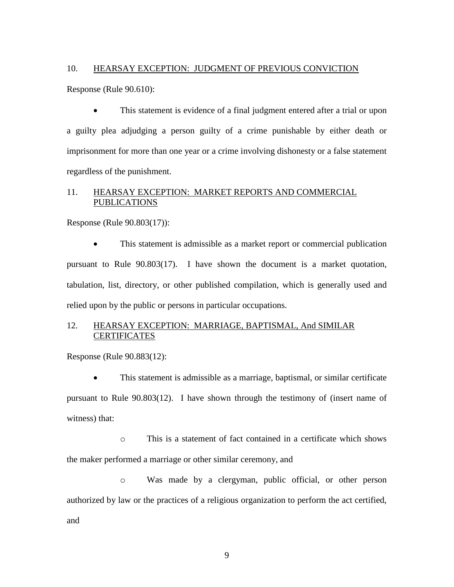#### 10. HEARSAY EXCEPTION: JUDGMENT OF PREVIOUS CONVICTION

Response (Rule 90.610):

 This statement is evidence of a final judgment entered after a trial or upon a guilty plea adjudging a person guilty of a crime punishable by either death or imprisonment for more than one year or a crime involving dishonesty or a false statement regardless of the punishment.

# 11. HEARSAY EXCEPTION: MARKET REPORTS AND COMMERCIAL PUBLICATIONS

Response (Rule 90.803(17)):

• This statement is admissible as a market report or commercial publication pursuant to Rule 90.803(17). I have shown the document is a market quotation, tabulation, list, directory, or other published compilation, which is generally used and relied upon by the public or persons in particular occupations.

# 12. HEARSAY EXCEPTION: MARRIAGE, BAPTISMAL, And SIMILAR **CERTIFICATES**

Response (Rule 90.883(12):

 This statement is admissible as a marriage, baptismal, or similar certificate pursuant to Rule 90.803(12). I have shown through the testimony of (insert name of witness) that:

o This is a statement of fact contained in a certificate which shows the maker performed a marriage or other similar ceremony, and

o Was made by a clergyman, public official, or other person authorized by law or the practices of a religious organization to perform the act certified, and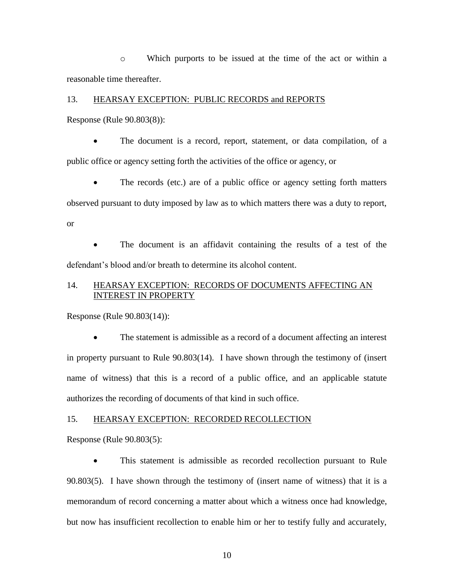o Which purports to be issued at the time of the act or within a reasonable time thereafter.

#### 13. HEARSAY EXCEPTION: PUBLIC RECORDS and REPORTS

Response (Rule 90.803(8)):

 The document is a record, report, statement, or data compilation, of a public office or agency setting forth the activities of the office or agency, or

 The records (etc.) are of a public office or agency setting forth matters observed pursuant to duty imposed by law as to which matters there was a duty to report, or

 The document is an affidavit containing the results of a test of the defendant's blood and/or breath to determine its alcohol content.

# 14. HEARSAY EXCEPTION: RECORDS OF DOCUMENTS AFFECTING AN INTEREST IN PROPERTY

Response (Rule 90.803(14)):

 The statement is admissible as a record of a document affecting an interest in property pursuant to Rule 90.803(14). I have shown through the testimony of (insert name of witness) that this is a record of a public office, and an applicable statute authorizes the recording of documents of that kind in such office.

#### 15. HEARSAY EXCEPTION: RECORDED RECOLLECTION

Response (Rule 90.803(5):

 This statement is admissible as recorded recollection pursuant to Rule 90.803(5). I have shown through the testimony of (insert name of witness) that it is a memorandum of record concerning a matter about which a witness once had knowledge, but now has insufficient recollection to enable him or her to testify fully and accurately,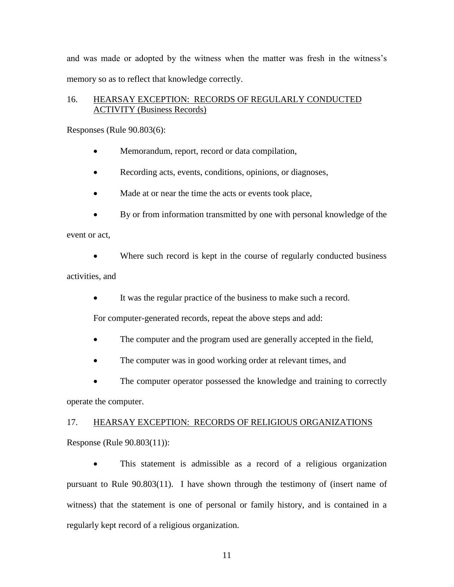and was made or adopted by the witness when the matter was fresh in the witness's memory so as to reflect that knowledge correctly.

# 16. HEARSAY EXCEPTION: RECORDS OF REGULARLY CONDUCTED ACTIVITY (Business Records)

Responses (Rule 90.803(6):

- Memorandum, report, record or data compilation,
- Recording acts, events, conditions, opinions, or diagnoses,
- Made at or near the time the acts or events took place,
- By or from information transmitted by one with personal knowledge of the

event or act,

 Where such record is kept in the course of regularly conducted business activities, and

It was the regular practice of the business to make such a record.

For computer-generated records, repeat the above steps and add:

- The computer and the program used are generally accepted in the field,
- The computer was in good working order at relevant times, and
- The computer operator possessed the knowledge and training to correctly

operate the computer.

# 17. HEARSAY EXCEPTION: RECORDS OF RELIGIOUS ORGANIZATIONS

Response (Rule 90.803(11)):

 This statement is admissible as a record of a religious organization pursuant to Rule 90.803(11). I have shown through the testimony of (insert name of witness) that the statement is one of personal or family history, and is contained in a regularly kept record of a religious organization.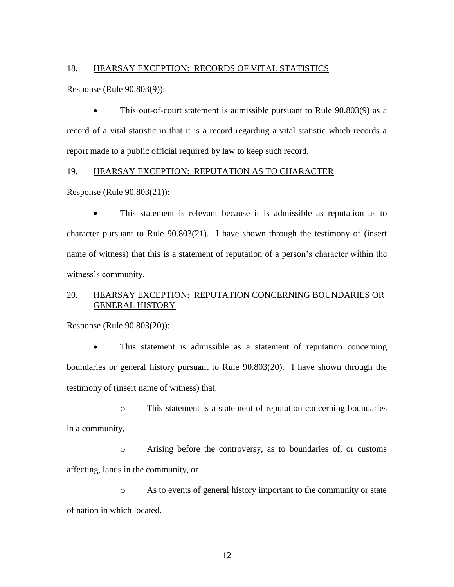#### 18. HEARSAY EXCEPTION: RECORDS OF VITAL STATISTICS

Response (Rule 90.803(9)):

 This out-of-court statement is admissible pursuant to Rule 90.803(9) as a record of a vital statistic in that it is a record regarding a vital statistic which records a report made to a public official required by law to keep such record.

### 19. HEARSAY EXCEPTION: REPUTATION AS TO CHARACTER

Response (Rule 90.803(21)):

 This statement is relevant because it is admissible as reputation as to character pursuant to Rule 90.803(21). I have shown through the testimony of (insert name of witness) that this is a statement of reputation of a person's character within the witness's community.

# 20. HEARSAY EXCEPTION: REPUTATION CONCERNING BOUNDARIES OR GENERAL HISTORY

Response (Rule 90.803(20)):

 This statement is admissible as a statement of reputation concerning boundaries or general history pursuant to Rule 90.803(20). I have shown through the testimony of (insert name of witness) that:

o This statement is a statement of reputation concerning boundaries in a community,

o Arising before the controversy, as to boundaries of, or customs affecting, lands in the community, or

o As to events of general history important to the community or state of nation in which located.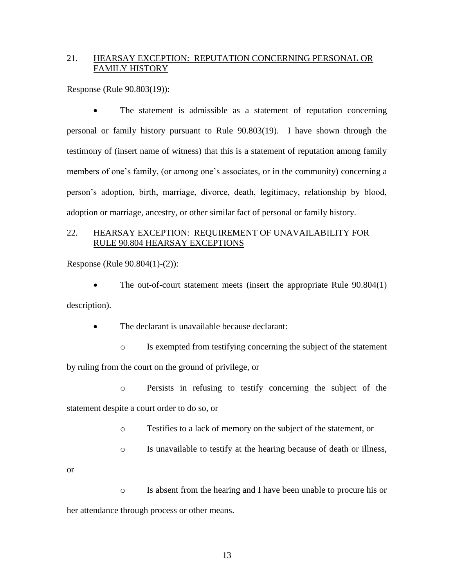# 21. HEARSAY EXCEPTION: REPUTATION CONCERNING PERSONAL OR FAMILY HISTORY

Response (Rule 90.803(19)):

 The statement is admissible as a statement of reputation concerning personal or family history pursuant to Rule 90.803(19). I have shown through the testimony of (insert name of witness) that this is a statement of reputation among family members of one's family, (or among one's associates, or in the community) concerning a person's adoption, birth, marriage, divorce, death, legitimacy, relationship by blood, adoption or marriage, ancestry, or other similar fact of personal or family history.

### 22. HEARSAY EXCEPTION: REQUIREMENT OF UNAVAILABILITY FOR RULE 90.804 HEARSAY EXCEPTIONS

Response (Rule 90.804(1)-(2)):

 The out-of-court statement meets (insert the appropriate Rule 90.804(1) description).

The declarant is unavailable because declarant:

o Is exempted from testifying concerning the subject of the statement by ruling from the court on the ground of privilege, or

o Persists in refusing to testify concerning the subject of the

statement despite a court order to do so, or

o Testifies to a lack of memory on the subject of the statement, or

- o Is unavailable to testify at the hearing because of death or illness,
- or

o Is absent from the hearing and I have been unable to procure his or her attendance through process or other means.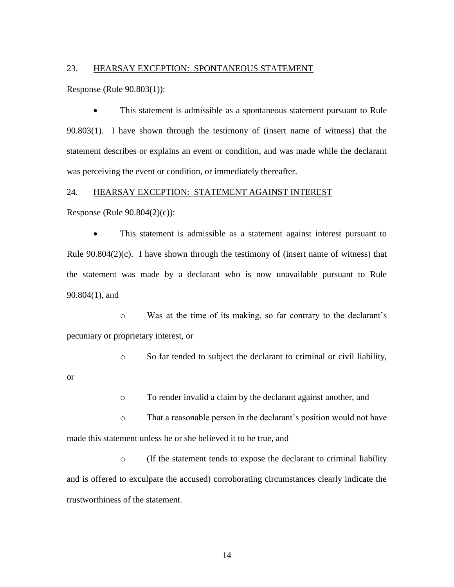#### 23. HEARSAY EXCEPTION: SPONTANEOUS STATEMENT

Response (Rule 90.803(1)):

 This statement is admissible as a spontaneous statement pursuant to Rule 90.803(1). I have shown through the testimony of (insert name of witness) that the statement describes or explains an event or condition, and was made while the declarant was perceiving the event or condition, or immediately thereafter.

### 24. HEARSAY EXCEPTION: STATEMENT AGAINST INTEREST

Response (Rule 90.804(2)(c)):

 This statement is admissible as a statement against interest pursuant to Rule  $90.804(2)(c)$ . I have shown through the testimony of (insert name of witness) that the statement was made by a declarant who is now unavailable pursuant to Rule 90.804(1), and

o Was at the time of its making, so far contrary to the declarant's pecuniary or proprietary interest, or

o So far tended to subject the declarant to criminal or civil liability,

or

o To render invalid a claim by the declarant against another, and

o That a reasonable person in the declarant's position would not have made this statement unless he or she believed it to be true, and

o (If the statement tends to expose the declarant to criminal liability and is offered to exculpate the accused) corroborating circumstances clearly indicate the trustworthiness of the statement.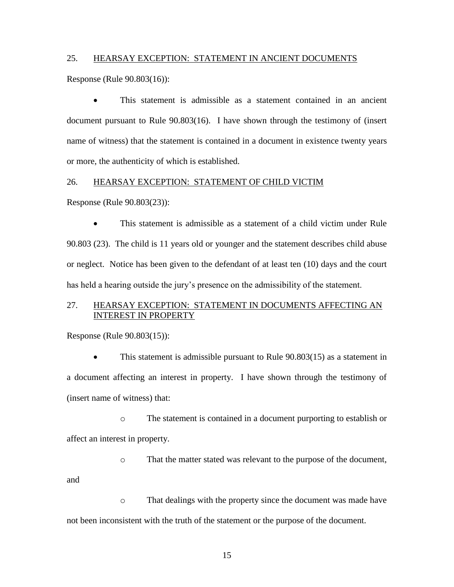### 25. HEARSAY EXCEPTION: STATEMENT IN ANCIENT DOCUMENTS

Response (Rule 90.803(16)):

 This statement is admissible as a statement contained in an ancient document pursuant to Rule 90.803(16). I have shown through the testimony of (insert name of witness) that the statement is contained in a document in existence twenty years or more, the authenticity of which is established.

### 26. HEARSAY EXCEPTION: STATEMENT OF CHILD VICTIM

Response (Rule 90.803(23)):

 This statement is admissible as a statement of a child victim under Rule 90.803 (23). The child is 11 years old or younger and the statement describes child abuse or neglect. Notice has been given to the defendant of at least ten (10) days and the court has held a hearing outside the jury's presence on the admissibility of the statement.

### 27. HEARSAY EXCEPTION: STATEMENT IN DOCUMENTS AFFECTING AN INTEREST IN PROPERTY

Response (Rule 90.803(15)):

and

 This statement is admissible pursuant to Rule 90.803(15) as a statement in a document affecting an interest in property. I have shown through the testimony of (insert name of witness) that:

o The statement is contained in a document purporting to establish or affect an interest in property.

o That the matter stated was relevant to the purpose of the document,

o That dealings with the property since the document was made have not been inconsistent with the truth of the statement or the purpose of the document.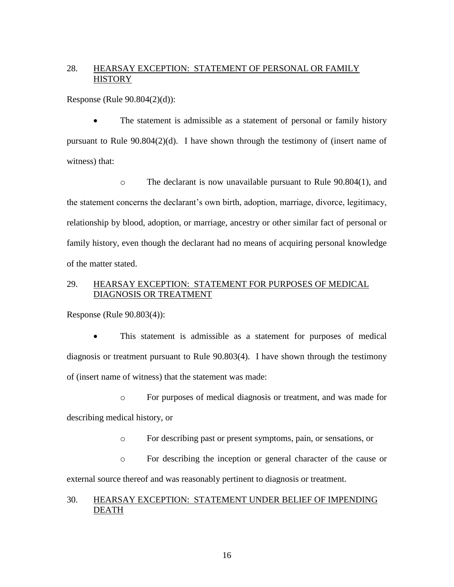# 28. HEARSAY EXCEPTION: STATEMENT OF PERSONAL OR FAMILY **HISTORY**

Response (Rule 90.804(2)(d)):

 The statement is admissible as a statement of personal or family history pursuant to Rule 90.804(2)(d). I have shown through the testimony of (insert name of witness) that:

o The declarant is now unavailable pursuant to Rule 90.804(1), and the statement concerns the declarant's own birth, adoption, marriage, divorce, legitimacy, relationship by blood, adoption, or marriage, ancestry or other similar fact of personal or family history, even though the declarant had no means of acquiring personal knowledge of the matter stated.

### 29. HEARSAY EXCEPTION: STATEMENT FOR PURPOSES OF MEDICAL DIAGNOSIS OR TREATMENT

Response (Rule 90.803(4)):

 This statement is admissible as a statement for purposes of medical diagnosis or treatment pursuant to Rule 90.803(4). I have shown through the testimony of (insert name of witness) that the statement was made:

o For purposes of medical diagnosis or treatment, and was made for describing medical history, or

o For describing past or present symptoms, pain, or sensations, or

o For describing the inception or general character of the cause or external source thereof and was reasonably pertinent to diagnosis or treatment.

### 30. HEARSAY EXCEPTION: STATEMENT UNDER BELIEF OF IMPENDING DEATH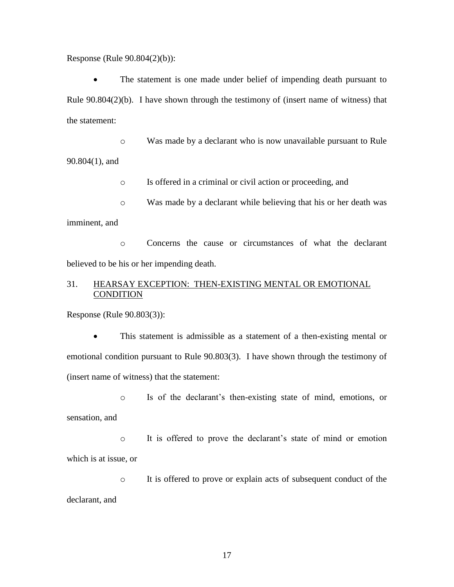Response (Rule 90.804(2)(b)):

 The statement is one made under belief of impending death pursuant to Rule 90.804(2)(b). I have shown through the testimony of (insert name of witness) that the statement:

o Was made by a declarant who is now unavailable pursuant to Rule 90.804(1), and

o Is offered in a criminal or civil action or proceeding, and

o Was made by a declarant while believing that his or her death was imminent, and

o Concerns the cause or circumstances of what the declarant believed to be his or her impending death.

# 31. HEARSAY EXCEPTION: THEN-EXISTING MENTAL OR EMOTIONAL **CONDITION**

Response (Rule 90.803(3)):

 This statement is admissible as a statement of a then-existing mental or emotional condition pursuant to Rule 90.803(3). I have shown through the testimony of (insert name of witness) that the statement:

o Is of the declarant's then-existing state of mind, emotions, or sensation, and

o It is offered to prove the declarant's state of mind or emotion which is at issue, or

o It is offered to prove or explain acts of subsequent conduct of the declarant, and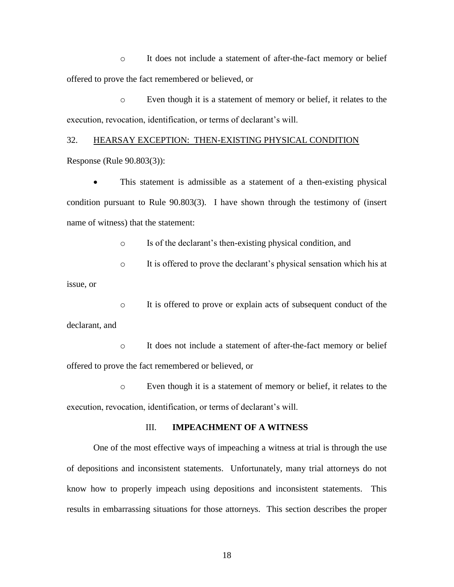o It does not include a statement of after-the-fact memory or belief offered to prove the fact remembered or believed, or

o Even though it is a statement of memory or belief, it relates to the execution, revocation, identification, or terms of declarant's will.

# 32. HEARSAY EXCEPTION: THEN-EXISTING PHYSICAL CONDITION

Response (Rule 90.803(3)):

 This statement is admissible as a statement of a then-existing physical condition pursuant to Rule 90.803(3). I have shown through the testimony of (insert name of witness) that the statement:

o Is of the declarant's then-existing physical condition, and

o It is offered to prove the declarant's physical sensation which his at issue, or

o It is offered to prove or explain acts of subsequent conduct of the declarant, and

o It does not include a statement of after-the-fact memory or belief offered to prove the fact remembered or believed, or

o Even though it is a statement of memory or belief, it relates to the execution, revocation, identification, or terms of declarant's will.

### III. **IMPEACHMENT OF A WITNESS**

One of the most effective ways of impeaching a witness at trial is through the use of depositions and inconsistent statements. Unfortunately, many trial attorneys do not know how to properly impeach using depositions and inconsistent statements. This results in embarrassing situations for those attorneys. This section describes the proper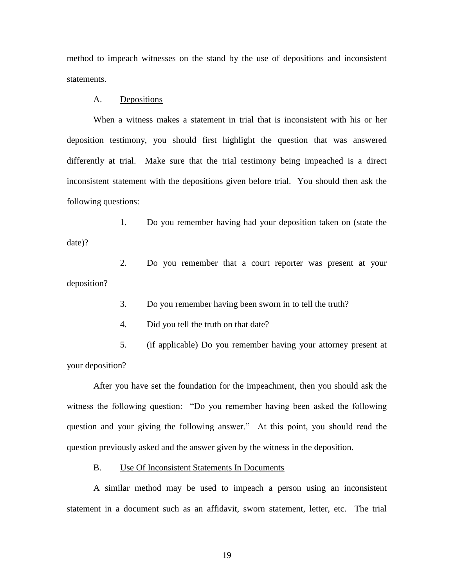method to impeach witnesses on the stand by the use of depositions and inconsistent statements.

### A. Depositions

When a witness makes a statement in trial that is inconsistent with his or her deposition testimony, you should first highlight the question that was answered differently at trial. Make sure that the trial testimony being impeached is a direct inconsistent statement with the depositions given before trial. You should then ask the following questions:

1. Do you remember having had your deposition taken on (state the date)?

2. Do you remember that a court reporter was present at your deposition?

3. Do you remember having been sworn in to tell the truth?

4. Did you tell the truth on that date?

5. (if applicable) Do you remember having your attorney present at your deposition?

After you have set the foundation for the impeachment, then you should ask the witness the following question: "Do you remember having been asked the following question and your giving the following answer." At this point, you should read the question previously asked and the answer given by the witness in the deposition.

B. Use Of Inconsistent Statements In Documents

A similar method may be used to impeach a person using an inconsistent statement in a document such as an affidavit, sworn statement, letter, etc. The trial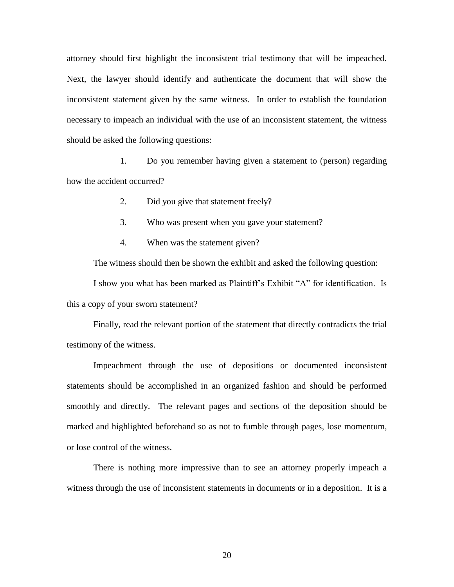attorney should first highlight the inconsistent trial testimony that will be impeached. Next, the lawyer should identify and authenticate the document that will show the inconsistent statement given by the same witness. In order to establish the foundation necessary to impeach an individual with the use of an inconsistent statement, the witness should be asked the following questions:

1. Do you remember having given a statement to (person) regarding how the accident occurred?

- 2. Did you give that statement freely?
- 3. Who was present when you gave your statement?
- 4. When was the statement given?

The witness should then be shown the exhibit and asked the following question:

I show you what has been marked as Plaintiff's Exhibit "A" for identification. Is this a copy of your sworn statement?

Finally, read the relevant portion of the statement that directly contradicts the trial testimony of the witness.

Impeachment through the use of depositions or documented inconsistent statements should be accomplished in an organized fashion and should be performed smoothly and directly. The relevant pages and sections of the deposition should be marked and highlighted beforehand so as not to fumble through pages, lose momentum, or lose control of the witness.

There is nothing more impressive than to see an attorney properly impeach a witness through the use of inconsistent statements in documents or in a deposition. It is a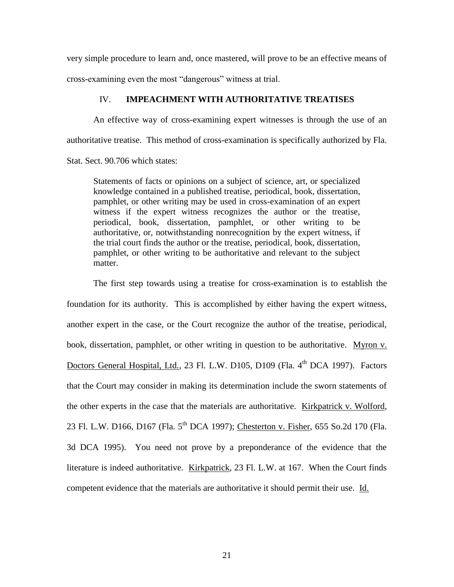very simple procedure to learn and, once mastered, will prove to be an effective means of cross-examining even the most "dangerous" witness at trial.

### IV. **IMPEACHMENT WITH AUTHORITATIVE TREATISES**

An effective way of cross-examining expert witnesses is through the use of an authoritative treatise. This method of cross-examination is specifically authorized by Fla. Stat. Sect. 90.706 which states:

Statements of facts or opinions on a subject of science, art, or specialized knowledge contained in a published treatise, periodical, book, dissertation, pamphlet, or other writing may be used in cross-examination of an expert witness if the expert witness recognizes the author or the treatise, periodical, book, dissertation, pamphlet, or other writing to be authoritative, or, notwithstanding nonrecognition by the expert witness, if the trial court finds the author or the treatise, periodical, book, dissertation, pamphlet, or other writing to be authoritative and relevant to the subject matter.

The first step towards using a treatise for cross-examination is to establish the foundation for its authority. This is accomplished by either having the expert witness, another expert in the case, or the Court recognize the author of the treatise, periodical, book, dissertation, pamphlet, or other writing in question to be authoritative. Myron v. Doctors General Hospital, Ltd., 23 Fl. L.W. D105, D109 (Fla. 4<sup>th</sup> DCA 1997). Factors that the Court may consider in making its determination include the sworn statements of the other experts in the case that the materials are authoritative. Kirkpatrick v. Wolford, 23 Fl. L.W. D166, D167 (Fla. 5<sup>th</sup> DCA 1997); Chesterton v. Fisher, 655 So.2d 170 (Fla. 3d DCA 1995). You need not prove by a preponderance of the evidence that the literature is indeed authoritative. Kirkpatrick, 23 Fl. L.W. at 167. When the Court finds competent evidence that the materials are authoritative it should permit their use. Id.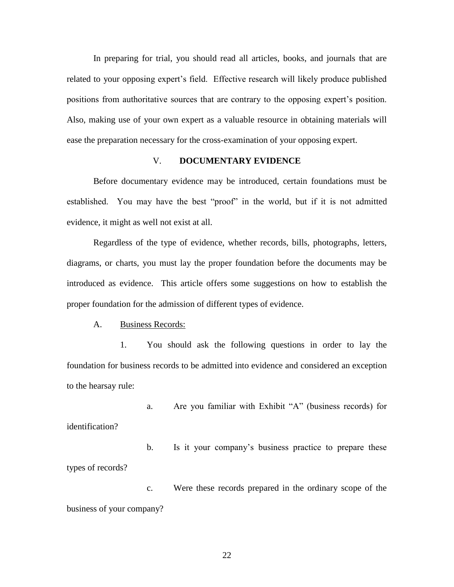In preparing for trial, you should read all articles, books, and journals that are related to your opposing expert's field. Effective research will likely produce published positions from authoritative sources that are contrary to the opposing expert's position. Also, making use of your own expert as a valuable resource in obtaining materials will ease the preparation necessary for the cross-examination of your opposing expert.

# V. **DOCUMENTARY EVIDENCE**

Before documentary evidence may be introduced, certain foundations must be established. You may have the best "proof" in the world, but if it is not admitted evidence, it might as well not exist at all.

Regardless of the type of evidence, whether records, bills, photographs, letters, diagrams, or charts, you must lay the proper foundation before the documents may be introduced as evidence. This article offers some suggestions on how to establish the proper foundation for the admission of different types of evidence.

A. Business Records:

1. You should ask the following questions in order to lay the foundation for business records to be admitted into evidence and considered an exception to the hearsay rule:

a. Are you familiar with Exhibit "A" (business records) for identification?

b. Is it your company's business practice to prepare these types of records?

c. Were these records prepared in the ordinary scope of the business of your company?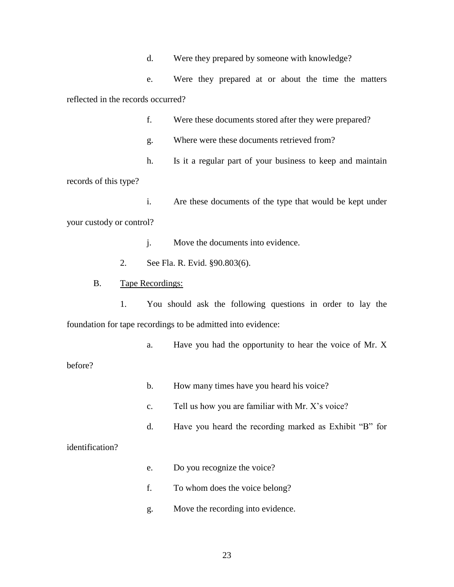d. Were they prepared by someone with knowledge?

e. Were they prepared at or about the time the matters reflected in the records occurred?

f. Were these documents stored after they were prepared?

g. Where were these documents retrieved from?

h. Is it a regular part of your business to keep and maintain

records of this type?

i. Are these documents of the type that would be kept under your custody or control?

j. Move the documents into evidence.

2. See Fla. R. Evid. §90.803(6).

### B. Tape Recordings:

1. You should ask the following questions in order to lay the foundation for tape recordings to be admitted into evidence:

a. Have you had the opportunity to hear the voice of Mr. X

before?

- b. How many times have you heard his voice?
- c. Tell us how you are familiar with Mr. X's voice?
- d. Have you heard the recording marked as Exhibit "B" for

### identification?

- e. Do you recognize the voice?
- f. To whom does the voice belong?
- g. Move the recording into evidence.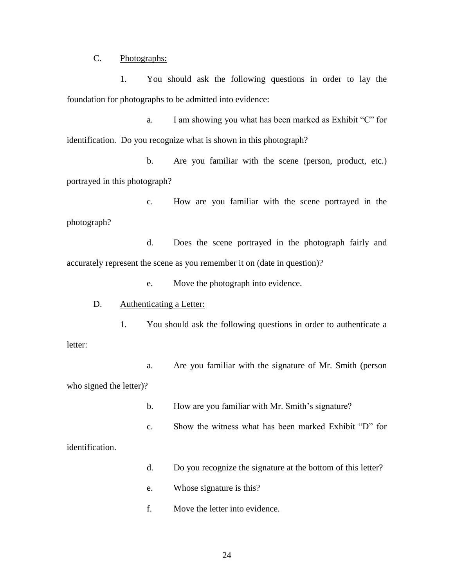C. Photographs:

1. You should ask the following questions in order to lay the foundation for photographs to be admitted into evidence:

a. I am showing you what has been marked as Exhibit "C" for identification. Do you recognize what is shown in this photograph?

b. Are you familiar with the scene (person, product, etc.) portrayed in this photograph?

c. How are you familiar with the scene portrayed in the photograph?

d. Does the scene portrayed in the photograph fairly and accurately represent the scene as you remember it on (date in question)?

e. Move the photograph into evidence.

D. Authenticating a Letter:

1. You should ask the following questions in order to authenticate a letter:

a. Are you familiar with the signature of Mr. Smith (person who signed the letter)?

b. How are you familiar with Mr. Smith's signature?

c. Show the witness what has been marked Exhibit "D" for

identification.

- d. Do you recognize the signature at the bottom of this letter?
- e. Whose signature is this?
- f. Move the letter into evidence.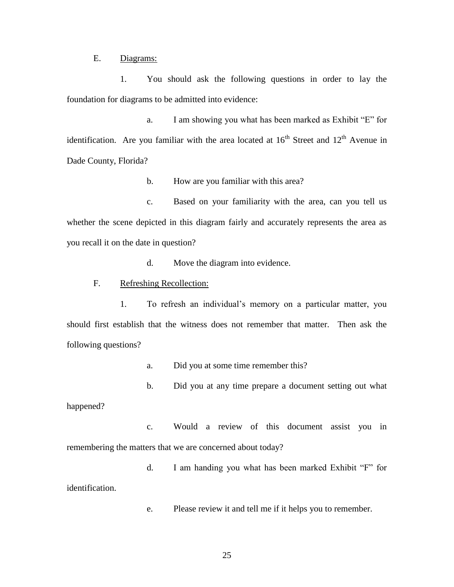E. Diagrams:

1. You should ask the following questions in order to lay the foundation for diagrams to be admitted into evidence:

a. I am showing you what has been marked as Exhibit "E" for identification. Are you familiar with the area located at  $16<sup>th</sup>$  Street and  $12<sup>th</sup>$  Avenue in Dade County, Florida?

b. How are you familiar with this area?

c. Based on your familiarity with the area, can you tell us whether the scene depicted in this diagram fairly and accurately represents the area as you recall it on the date in question?

d. Move the diagram into evidence.

### F. Refreshing Recollection:

1. To refresh an individual's memory on a particular matter, you should first establish that the witness does not remember that matter. Then ask the following questions?

- a. Did you at some time remember this?
- b. Did you at any time prepare a document setting out what

happened?

- c. Would a review of this document assist you in remembering the matters that we are concerned about today?
- d. I am handing you what has been marked Exhibit "F" for identification.
	- e. Please review it and tell me if it helps you to remember.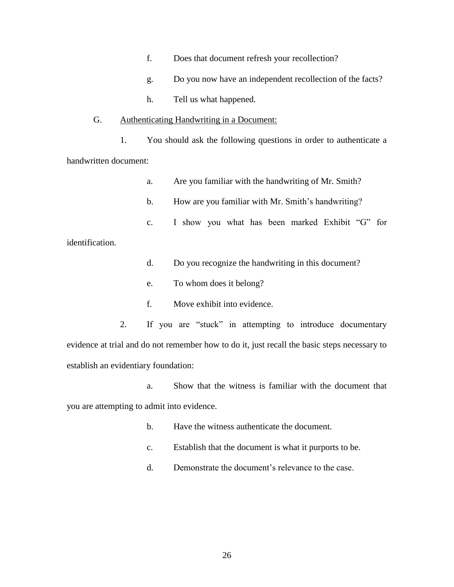- f. Does that document refresh your recollection?
- g. Do you now have an independent recollection of the facts?
- h. Tell us what happened.

#### G. Authenticating Handwriting in a Document:

1. You should ask the following questions in order to authenticate a handwritten document:

- a. Are you familiar with the handwriting of Mr. Smith?
- b. How are you familiar with Mr. Smith's handwriting?
- c. I show you what has been marked Exhibit "G" for

identification.

- d. Do you recognize the handwriting in this document?
- e. To whom does it belong?
- f. Move exhibit into evidence.

2. If you are "stuck" in attempting to introduce documentary evidence at trial and do not remember how to do it, just recall the basic steps necessary to establish an evidentiary foundation:

- a. Show that the witness is familiar with the document that you are attempting to admit into evidence.
	- b. Have the witness authenticate the document.
	- c. Establish that the document is what it purports to be.
	- d. Demonstrate the document's relevance to the case.